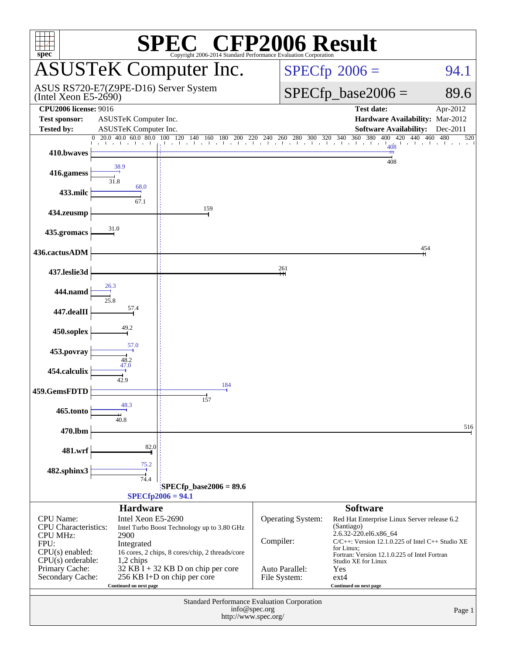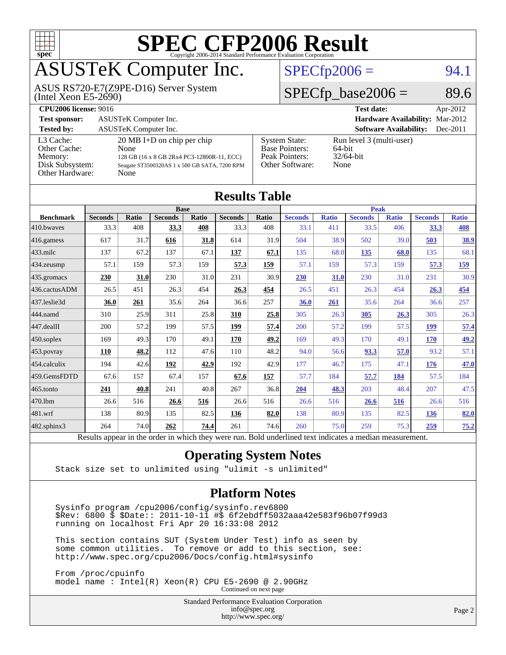

## ASUSTeK Computer Inc.

(Intel Xeon E5-2690) ASUS RS720-E7(Z9PE-D16) Server System

#### $SPECfp2006 = 94.1$  $SPECfp2006 = 94.1$

#### $SPECTp\_base2006 = 89.6$

| <b>CPU2006 license: 9016</b>                                               |                                                                                                                                                     |                                                                                    | <b>Test date:</b><br>Apr-2012                                 |
|----------------------------------------------------------------------------|-----------------------------------------------------------------------------------------------------------------------------------------------------|------------------------------------------------------------------------------------|---------------------------------------------------------------|
| <b>Test sponsor:</b>                                                       | ASUSTeK Computer Inc.                                                                                                                               |                                                                                    | <b>Hardware Availability: Mar-2012</b>                        |
| <b>Tested by:</b>                                                          | <b>ASUSTeK Computer Inc.</b>                                                                                                                        |                                                                                    | <b>Software Availability:</b><br>Dec-2011                     |
| L3 Cache:<br>Other Cache:<br>Memory:<br>Disk Subsystem:<br>Other Hardware: | $20 \text{ MB I+D}$ on chip per chip<br>None<br>128 GB (16 x 8 GB 2Rx4 PC3-12800R-11, ECC)<br>Seagate ST3500320AS 1 x 500 GB SATA, 7200 RPM<br>None | <b>System State:</b><br><b>Base Pointers:</b><br>Peak Pointers:<br>Other Software: | Run level 3 (multi-user)<br>$64$ -bit<br>$32/64$ -bit<br>None |

| <b>Results Table</b> |                                                                                                          |       |                |       |                |             |                |              |                |              |                |              |
|----------------------|----------------------------------------------------------------------------------------------------------|-------|----------------|-------|----------------|-------------|----------------|--------------|----------------|--------------|----------------|--------------|
|                      | <b>Base</b>                                                                                              |       |                |       |                | <b>Peak</b> |                |              |                |              |                |              |
| <b>Benchmark</b>     | <b>Seconds</b>                                                                                           | Ratio | <b>Seconds</b> | Ratio | <b>Seconds</b> | Ratio       | <b>Seconds</b> | <b>Ratio</b> | <b>Seconds</b> | <b>Ratio</b> | <b>Seconds</b> | <b>Ratio</b> |
| 410.bwayes           | 33.3                                                                                                     | 408   | 33.3           | 408   | 33.3           | 408         | 33.1           | 411          | 33.5           | 406          | 33.3           | 408          |
| 416.gamess           | 617                                                                                                      | 31.7  | 616            | 31.8  | 614            | 31.9        | 504            | 38.9         | 502            | 39.0         | 503            | 38.9         |
| 433.milc             | 137                                                                                                      | 67.2  | 137            | 67.1  | 137            | 67.1        | 135            | 68.0         | 135            | 68.0         | 135            | 68.1         |
| 434.zeusmp           | 57.1                                                                                                     | 159   | 57.3           | 159   | 57.3           | 159         | 57.1           | 159          | 57.3           | 159          | 57.3           | <u>159</u>   |
| 435.gromacs          | 230                                                                                                      | 31.0  | 230            | 31.0  | 231            | 30.9        | 230            | 31.0         | 230            | 31.0         | 231            | 30.9         |
| 436.cactusADM        | 26.5                                                                                                     | 451   | 26.3           | 454   | 26.3           | 454         | 26.5           | 451          | 26.3           | 454          | 26.3           | 454          |
| 437.leslie3d         | 36.0                                                                                                     | 261   | 35.6           | 264   | 36.6           | 257         | 36.0           | 261          | 35.6           | 264          | 36.6           | 257          |
| 444.namd             | 310                                                                                                      | 25.9  | 311            | 25.8  | 310            | 25.8        | 305            | 26.3         | 305            | 26.3         | 305            | 26.3         |
| 447.dealII           | 200                                                                                                      | 57.2  | 199            | 57.5  | 199            | 57.4        | 200            | 57.2         | 199            | 57.5         | 199            | 57.4         |
| 450.soplex           | 169                                                                                                      | 49.3  | 170            | 49.1  | 170            | 49.2        | 169            | 49.3         | 170            | 49.1         | 170            | 49.2         |
| 453.povray           | 110                                                                                                      | 48.2  | 112            | 47.6  | 110            | 48.2        | 94.0           | 56.6         | 93.3           | 57.0         | 93.2           | 57.1         |
| 454.calculix         | 194                                                                                                      | 42.6  | 192            | 42.9  | 192            | 42.9        | 177            | 46.7         | 175            | 47.1         | 176            | 47.0         |
| 459.GemsFDTD         | 67.6                                                                                                     | 157   | 67.4           | 157   | 67.6           | 157         | 57.7           | 184          | 57.7           | 184          | 57.5           | 184          |
| 465.tonto            | 241                                                                                                      | 40.8  | 241            | 40.8  | 267            | 36.8        | 204            | 48.3         | 203            | 48.4         | 207            | 47.5         |
| 470.1bm              | 26.6                                                                                                     | 516   | 26.6           | 516   | 26.6           | 516         | 26.6           | 516          | 26.6           | 516          | 26.6           | 516          |
| 481.wrf              | 138                                                                                                      | 80.9  | 135            | 82.5  | 136            | 82.0        | 138            | 80.9         | 135            | 82.5         | 136            | 82.0         |
| 482.sphinx3          | 264                                                                                                      | 74.0  | 262            | 74.4  | 261            | 74.6        | 260            | 75.0         | 259            | 75.3         | 259            | <u>75.2</u>  |
|                      | Results appear in the order in which they were run. Bold underlined text indicates a median measurement. |       |                |       |                |             |                |              |                |              |                |              |

#### **[Operating System Notes](http://www.spec.org/auto/cpu2006/Docs/result-fields.html#OperatingSystemNotes)**

Stack size set to unlimited using "ulimit -s unlimited"

#### **[Platform Notes](http://www.spec.org/auto/cpu2006/Docs/result-fields.html#PlatformNotes)**

 Sysinfo program /cpu2006/config/sysinfo.rev6800 \$Rev: 6800 \$ \$Date:: 2011-10-11 #\$ 6f2ebdff5032aaa42e583f96b07f99d3 running on localhost Fri Apr 20 16:33:08 2012

 This section contains SUT (System Under Test) info as seen by some common utilities. To remove or add to this section, see: <http://www.spec.org/cpu2006/Docs/config.html#sysinfo>

 From /proc/cpuinfo model name : Intel(R) Xeon(R) CPU E5-2690 @ 2.90GHz Continued on next page

> Standard Performance Evaluation Corporation [info@spec.org](mailto:info@spec.org) <http://www.spec.org/>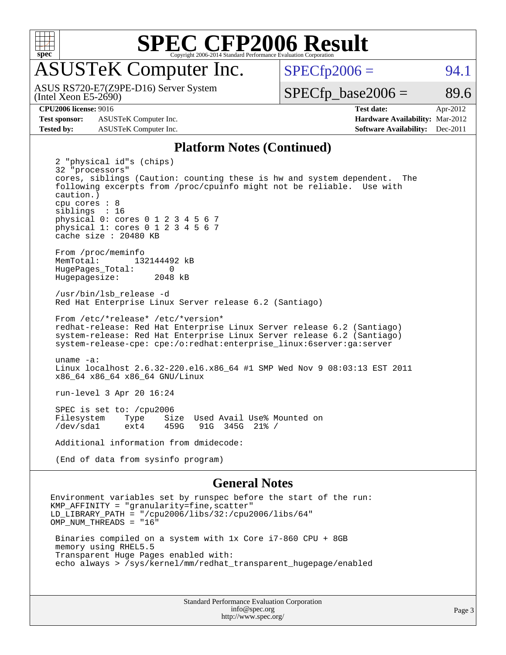

## ASUSTeK Computer Inc.

(Intel Xeon E5-2690) ASUS RS720-E7(Z9PE-D16) Server System  $SPECTp2006 = 94.1$ 

 $SPECTp\_base2006 = 89.6$ 

**[Test sponsor:](http://www.spec.org/auto/cpu2006/Docs/result-fields.html#Testsponsor)** ASUSTeK Computer Inc. **[Hardware Availability:](http://www.spec.org/auto/cpu2006/Docs/result-fields.html#HardwareAvailability)** Mar-2012 **[Tested by:](http://www.spec.org/auto/cpu2006/Docs/result-fields.html#Testedby)** ASUSTeK Computer Inc. **[Software Availability:](http://www.spec.org/auto/cpu2006/Docs/result-fields.html#SoftwareAvailability)** Dec-2011

**[CPU2006 license:](http://www.spec.org/auto/cpu2006/Docs/result-fields.html#CPU2006license)** 9016 **[Test date:](http://www.spec.org/auto/cpu2006/Docs/result-fields.html#Testdate)** Apr-2012

#### **[Platform Notes \(Continued\)](http://www.spec.org/auto/cpu2006/Docs/result-fields.html#PlatformNotes)**

 2 "physical id"s (chips) 32 "processors" cores, siblings (Caution: counting these is hw and system dependent. The following excerpts from /proc/cpuinfo might not be reliable. Use with caution.) cpu cores : 8 siblings : 16 physical 0: cores 0 1 2 3 4 5 6 7 physical 1: cores 0 1 2 3 4 5 6 7 cache size : 20480 KB From /proc/meminfo MemTotal: 132144492 kB<br>HugePages Total: 0 HugePages\_Total: 0<br>Hugepagesize: 2048 kB Hugepagesize: /usr/bin/lsb\_release -d Red Hat Enterprise Linux Server release 6.2 (Santiago) From /etc/\*release\* /etc/\*version\* redhat-release: Red Hat Enterprise Linux Server release 6.2 (Santiago) system-release: Red Hat Enterprise Linux Server release 6.2 (Santiago) system-release-cpe: cpe:/o:redhat:enterprise\_linux:6server:ga:server uname -a: Linux localhost 2.6.32-220.el6.x86\_64 #1 SMP Wed Nov 9 08:03:13 EST 2011 x86\_64 x86\_64 x86\_64 GNU/Linux run-level 3 Apr 20 16:24 SPEC is set to: /cpu2006<br>Filesystem Type Si Type Size Used Avail Use% Mounted on<br>ext4 459G 91G 345G 21% / /dev/sda1 ext4 459G 91G 345G 21% / Additional information from dmidecode: (End of data from sysinfo program)

#### **[General Notes](http://www.spec.org/auto/cpu2006/Docs/result-fields.html#GeneralNotes)**

Environment variables set by runspec before the start of the run: KMP\_AFFINITY = "granularity=fine,scatter" LD\_LIBRARY\_PATH = "/cpu2006/libs/32:/cpu2006/libs/64" OMP\_NUM\_THREADS = "16" Binaries compiled on a system with 1x Core i7-860 CPU + 8GB memory using RHEL5.5

 Transparent Huge Pages enabled with: echo always > /sys/kernel/mm/redhat\_transparent\_hugepage/enabled

> Standard Performance Evaluation Corporation [info@spec.org](mailto:info@spec.org) <http://www.spec.org/>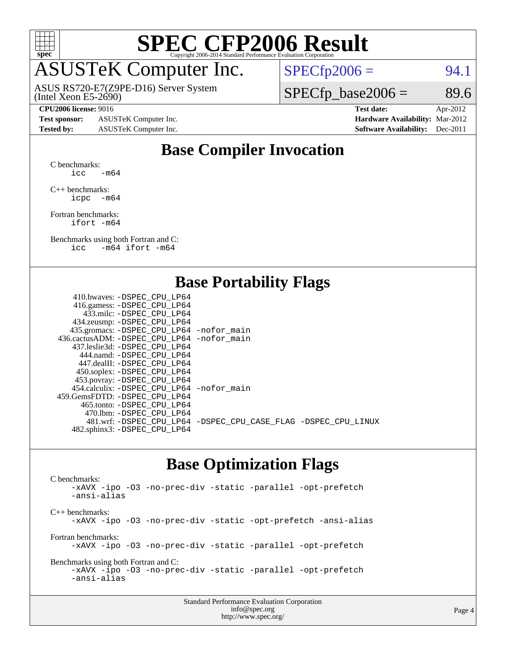

### ASUSTeK Computer Inc.

ASUS RS720-E7(Z9PE-D16) Server System

 $SPECTp2006 = 94.1$ 

(Intel Xeon E5-2690)

#### **[CPU2006 license:](http://www.spec.org/auto/cpu2006/Docs/result-fields.html#CPU2006license)** 9016 **[Test date:](http://www.spec.org/auto/cpu2006/Docs/result-fields.html#Testdate)** Apr-2012

**[Test sponsor:](http://www.spec.org/auto/cpu2006/Docs/result-fields.html#Testsponsor)** ASUSTeK Computer Inc. **[Hardware Availability:](http://www.spec.org/auto/cpu2006/Docs/result-fields.html#HardwareAvailability)** Mar-2012 **[Tested by:](http://www.spec.org/auto/cpu2006/Docs/result-fields.html#Testedby)** ASUSTeK Computer Inc. **[Software Availability:](http://www.spec.org/auto/cpu2006/Docs/result-fields.html#SoftwareAvailability)** Dec-2011

 $SPECTp\_base2006 = 89.6$ 

### **[Base Compiler Invocation](http://www.spec.org/auto/cpu2006/Docs/result-fields.html#BaseCompilerInvocation)**

[C benchmarks](http://www.spec.org/auto/cpu2006/Docs/result-fields.html#Cbenchmarks):  $\text{icc}$  -m64

[C++ benchmarks:](http://www.spec.org/auto/cpu2006/Docs/result-fields.html#CXXbenchmarks) [icpc -m64](http://www.spec.org/cpu2006/results/res2012q3/cpu2006-20120703-23522.flags.html#user_CXXbase_intel_icpc_64bit_bedb90c1146cab66620883ef4f41a67e)

[Fortran benchmarks](http://www.spec.org/auto/cpu2006/Docs/result-fields.html#Fortranbenchmarks): [ifort -m64](http://www.spec.org/cpu2006/results/res2012q3/cpu2006-20120703-23522.flags.html#user_FCbase_intel_ifort_64bit_ee9d0fb25645d0210d97eb0527dcc06e)

[Benchmarks using both Fortran and C](http://www.spec.org/auto/cpu2006/Docs/result-fields.html#BenchmarksusingbothFortranandC): [icc -m64](http://www.spec.org/cpu2006/results/res2012q3/cpu2006-20120703-23522.flags.html#user_CC_FCbase_intel_icc_64bit_0b7121f5ab7cfabee23d88897260401c) [ifort -m64](http://www.spec.org/cpu2006/results/res2012q3/cpu2006-20120703-23522.flags.html#user_CC_FCbase_intel_ifort_64bit_ee9d0fb25645d0210d97eb0527dcc06e)

#### **[Base Portability Flags](http://www.spec.org/auto/cpu2006/Docs/result-fields.html#BasePortabilityFlags)**

| 410.bwaves: -DSPEC CPU LP64                 |                                                                |
|---------------------------------------------|----------------------------------------------------------------|
| 416.gamess: - DSPEC_CPU_LP64                |                                                                |
| 433.milc: -DSPEC CPU LP64                   |                                                                |
| 434.zeusmp: -DSPEC_CPU_LP64                 |                                                                |
| 435.gromacs: -DSPEC_CPU_LP64 -nofor_main    |                                                                |
| 436.cactusADM: -DSPEC CPU LP64 -nofor main  |                                                                |
| 437.leslie3d: -DSPEC CPU LP64               |                                                                |
| 444.namd: - DSPEC CPU LP64                  |                                                                |
| 447.dealII: - DSPEC CPU LP64                |                                                                |
| 450.soplex: -DSPEC_CPU_LP64                 |                                                                |
| 453.povray: -DSPEC_CPU_LP64                 |                                                                |
| 454.calculix: - DSPEC CPU LP64 - nofor main |                                                                |
| 459. GemsFDTD: - DSPEC CPU LP64             |                                                                |
| 465.tonto: - DSPEC_CPU LP64                 |                                                                |
| 470.1bm: - DSPEC CPU LP64                   |                                                                |
|                                             | 481.wrf: -DSPEC_CPU_LP64 -DSPEC_CPU_CASE_FLAG -DSPEC_CPU_LINUX |
| 482.sphinx3: -DSPEC_CPU_LP64                |                                                                |
|                                             |                                                                |

#### **[Base Optimization Flags](http://www.spec.org/auto/cpu2006/Docs/result-fields.html#BaseOptimizationFlags)**

[C benchmarks](http://www.spec.org/auto/cpu2006/Docs/result-fields.html#Cbenchmarks): [-xAVX](http://www.spec.org/cpu2006/results/res2012q3/cpu2006-20120703-23522.flags.html#user_CCbase_f-xAVX) [-ipo](http://www.spec.org/cpu2006/results/res2012q3/cpu2006-20120703-23522.flags.html#user_CCbase_f-ipo) [-O3](http://www.spec.org/cpu2006/results/res2012q3/cpu2006-20120703-23522.flags.html#user_CCbase_f-O3) [-no-prec-div](http://www.spec.org/cpu2006/results/res2012q3/cpu2006-20120703-23522.flags.html#user_CCbase_f-no-prec-div) [-static](http://www.spec.org/cpu2006/results/res2012q3/cpu2006-20120703-23522.flags.html#user_CCbase_f-static) [-parallel](http://www.spec.org/cpu2006/results/res2012q3/cpu2006-20120703-23522.flags.html#user_CCbase_f-parallel) [-opt-prefetch](http://www.spec.org/cpu2006/results/res2012q3/cpu2006-20120703-23522.flags.html#user_CCbase_f-opt-prefetch) [-ansi-alias](http://www.spec.org/cpu2006/results/res2012q3/cpu2006-20120703-23522.flags.html#user_CCbase_f-ansi-alias) [C++ benchmarks:](http://www.spec.org/auto/cpu2006/Docs/result-fields.html#CXXbenchmarks) [-xAVX](http://www.spec.org/cpu2006/results/res2012q3/cpu2006-20120703-23522.flags.html#user_CXXbase_f-xAVX) [-ipo](http://www.spec.org/cpu2006/results/res2012q3/cpu2006-20120703-23522.flags.html#user_CXXbase_f-ipo) [-O3](http://www.spec.org/cpu2006/results/res2012q3/cpu2006-20120703-23522.flags.html#user_CXXbase_f-O3) [-no-prec-div](http://www.spec.org/cpu2006/results/res2012q3/cpu2006-20120703-23522.flags.html#user_CXXbase_f-no-prec-div) [-static](http://www.spec.org/cpu2006/results/res2012q3/cpu2006-20120703-23522.flags.html#user_CXXbase_f-static) [-opt-prefetch](http://www.spec.org/cpu2006/results/res2012q3/cpu2006-20120703-23522.flags.html#user_CXXbase_f-opt-prefetch) [-ansi-alias](http://www.spec.org/cpu2006/results/res2012q3/cpu2006-20120703-23522.flags.html#user_CXXbase_f-ansi-alias) [Fortran benchmarks](http://www.spec.org/auto/cpu2006/Docs/result-fields.html#Fortranbenchmarks): [-xAVX](http://www.spec.org/cpu2006/results/res2012q3/cpu2006-20120703-23522.flags.html#user_FCbase_f-xAVX) [-ipo](http://www.spec.org/cpu2006/results/res2012q3/cpu2006-20120703-23522.flags.html#user_FCbase_f-ipo) [-O3](http://www.spec.org/cpu2006/results/res2012q3/cpu2006-20120703-23522.flags.html#user_FCbase_f-O3) [-no-prec-div](http://www.spec.org/cpu2006/results/res2012q3/cpu2006-20120703-23522.flags.html#user_FCbase_f-no-prec-div) [-static](http://www.spec.org/cpu2006/results/res2012q3/cpu2006-20120703-23522.flags.html#user_FCbase_f-static) [-parallel](http://www.spec.org/cpu2006/results/res2012q3/cpu2006-20120703-23522.flags.html#user_FCbase_f-parallel) [-opt-prefetch](http://www.spec.org/cpu2006/results/res2012q3/cpu2006-20120703-23522.flags.html#user_FCbase_f-opt-prefetch) [Benchmarks using both Fortran and C](http://www.spec.org/auto/cpu2006/Docs/result-fields.html#BenchmarksusingbothFortranandC): [-xAVX](http://www.spec.org/cpu2006/results/res2012q3/cpu2006-20120703-23522.flags.html#user_CC_FCbase_f-xAVX) [-ipo](http://www.spec.org/cpu2006/results/res2012q3/cpu2006-20120703-23522.flags.html#user_CC_FCbase_f-ipo) [-O3](http://www.spec.org/cpu2006/results/res2012q3/cpu2006-20120703-23522.flags.html#user_CC_FCbase_f-O3) [-no-prec-div](http://www.spec.org/cpu2006/results/res2012q3/cpu2006-20120703-23522.flags.html#user_CC_FCbase_f-no-prec-div) [-static](http://www.spec.org/cpu2006/results/res2012q3/cpu2006-20120703-23522.flags.html#user_CC_FCbase_f-static) [-parallel](http://www.spec.org/cpu2006/results/res2012q3/cpu2006-20120703-23522.flags.html#user_CC_FCbase_f-parallel) [-opt-prefetch](http://www.spec.org/cpu2006/results/res2012q3/cpu2006-20120703-23522.flags.html#user_CC_FCbase_f-opt-prefetch) [-ansi-alias](http://www.spec.org/cpu2006/results/res2012q3/cpu2006-20120703-23522.flags.html#user_CC_FCbase_f-ansi-alias)

| <b>Standard Performance Evaluation Corporation</b> |  |
|----------------------------------------------------|--|
| info@spec.org                                      |  |
| http://www.spec.org/                               |  |

Page 4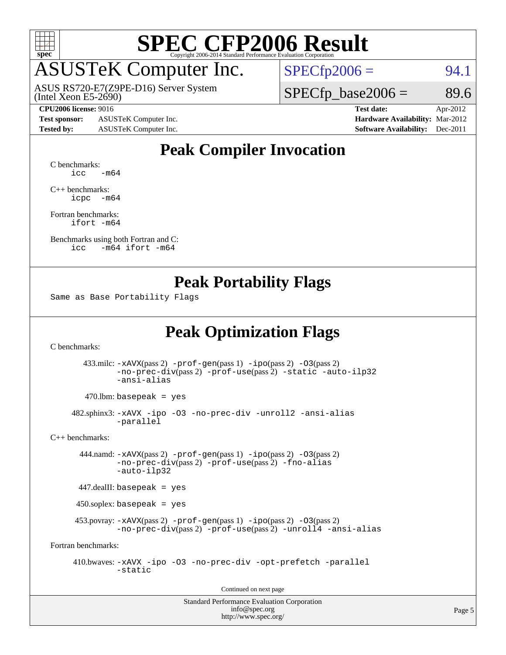

### ASUSTeK Computer Inc.

ASUS RS720-E7(Z9PE-D16) Server System

 $SPECfp2006 = 94.1$  $SPECfp2006 = 94.1$ 

(Intel Xeon E5-2690)

#### **[CPU2006 license:](http://www.spec.org/auto/cpu2006/Docs/result-fields.html#CPU2006license)** 9016 **[Test date:](http://www.spec.org/auto/cpu2006/Docs/result-fields.html#Testdate)** Apr-2012

**[Test sponsor:](http://www.spec.org/auto/cpu2006/Docs/result-fields.html#Testsponsor)** ASUSTeK Computer Inc. **[Hardware Availability:](http://www.spec.org/auto/cpu2006/Docs/result-fields.html#HardwareAvailability)** Mar-2012

 $SPECTp\_base2006 = 89.6$ 

**[Tested by:](http://www.spec.org/auto/cpu2006/Docs/result-fields.html#Testedby)** ASUSTeK Computer Inc. **[Software Availability:](http://www.spec.org/auto/cpu2006/Docs/result-fields.html#SoftwareAvailability)** Dec-2011

#### **[Peak Compiler Invocation](http://www.spec.org/auto/cpu2006/Docs/result-fields.html#PeakCompilerInvocation)**

[C benchmarks](http://www.spec.org/auto/cpu2006/Docs/result-fields.html#Cbenchmarks):  $\text{icc}$   $-\text{m64}$ 

[C++ benchmarks:](http://www.spec.org/auto/cpu2006/Docs/result-fields.html#CXXbenchmarks) [icpc -m64](http://www.spec.org/cpu2006/results/res2012q3/cpu2006-20120703-23522.flags.html#user_CXXpeak_intel_icpc_64bit_bedb90c1146cab66620883ef4f41a67e)

[Fortran benchmarks](http://www.spec.org/auto/cpu2006/Docs/result-fields.html#Fortranbenchmarks): [ifort -m64](http://www.spec.org/cpu2006/results/res2012q3/cpu2006-20120703-23522.flags.html#user_FCpeak_intel_ifort_64bit_ee9d0fb25645d0210d97eb0527dcc06e)

[Benchmarks using both Fortran and C](http://www.spec.org/auto/cpu2006/Docs/result-fields.html#BenchmarksusingbothFortranandC): [icc -m64](http://www.spec.org/cpu2006/results/res2012q3/cpu2006-20120703-23522.flags.html#user_CC_FCpeak_intel_icc_64bit_0b7121f5ab7cfabee23d88897260401c) [ifort -m64](http://www.spec.org/cpu2006/results/res2012q3/cpu2006-20120703-23522.flags.html#user_CC_FCpeak_intel_ifort_64bit_ee9d0fb25645d0210d97eb0527dcc06e)

#### **[Peak Portability Flags](http://www.spec.org/auto/cpu2006/Docs/result-fields.html#PeakPortabilityFlags)**

Same as Base Portability Flags

#### **[Peak Optimization Flags](http://www.spec.org/auto/cpu2006/Docs/result-fields.html#PeakOptimizationFlags)**

[C benchmarks](http://www.spec.org/auto/cpu2006/Docs/result-fields.html#Cbenchmarks):

 433.milc: [-xAVX](http://www.spec.org/cpu2006/results/res2012q3/cpu2006-20120703-23522.flags.html#user_peakPASS2_CFLAGSPASS2_LDFLAGS433_milc_f-xAVX)(pass 2) [-prof-gen](http://www.spec.org/cpu2006/results/res2012q3/cpu2006-20120703-23522.flags.html#user_peakPASS1_CFLAGSPASS1_LDFLAGS433_milc_prof_gen_e43856698f6ca7b7e442dfd80e94a8fc)(pass 1) [-ipo](http://www.spec.org/cpu2006/results/res2012q3/cpu2006-20120703-23522.flags.html#user_peakPASS2_CFLAGSPASS2_LDFLAGS433_milc_f-ipo)(pass 2) [-O3](http://www.spec.org/cpu2006/results/res2012q3/cpu2006-20120703-23522.flags.html#user_peakPASS2_CFLAGSPASS2_LDFLAGS433_milc_f-O3)(pass 2) [-no-prec-div](http://www.spec.org/cpu2006/results/res2012q3/cpu2006-20120703-23522.flags.html#user_peakPASS2_CFLAGSPASS2_LDFLAGS433_milc_f-no-prec-div)(pass 2) [-prof-use](http://www.spec.org/cpu2006/results/res2012q3/cpu2006-20120703-23522.flags.html#user_peakPASS2_CFLAGSPASS2_LDFLAGS433_milc_prof_use_bccf7792157ff70d64e32fe3e1250b55)(pass 2) [-static](http://www.spec.org/cpu2006/results/res2012q3/cpu2006-20120703-23522.flags.html#user_peakOPTIMIZE433_milc_f-static) [-auto-ilp32](http://www.spec.org/cpu2006/results/res2012q3/cpu2006-20120703-23522.flags.html#user_peakCOPTIMIZE433_milc_f-auto-ilp32) [-ansi-alias](http://www.spec.org/cpu2006/results/res2012q3/cpu2006-20120703-23522.flags.html#user_peakCOPTIMIZE433_milc_f-ansi-alias)

 $470.$ lbm: basepeak = yes

 482.sphinx3: [-xAVX](http://www.spec.org/cpu2006/results/res2012q3/cpu2006-20120703-23522.flags.html#user_peakOPTIMIZE482_sphinx3_f-xAVX) [-ipo](http://www.spec.org/cpu2006/results/res2012q3/cpu2006-20120703-23522.flags.html#user_peakOPTIMIZE482_sphinx3_f-ipo) [-O3](http://www.spec.org/cpu2006/results/res2012q3/cpu2006-20120703-23522.flags.html#user_peakOPTIMIZE482_sphinx3_f-O3) [-no-prec-div](http://www.spec.org/cpu2006/results/res2012q3/cpu2006-20120703-23522.flags.html#user_peakOPTIMIZE482_sphinx3_f-no-prec-div) [-unroll2](http://www.spec.org/cpu2006/results/res2012q3/cpu2006-20120703-23522.flags.html#user_peakCOPTIMIZE482_sphinx3_f-unroll_784dae83bebfb236979b41d2422d7ec2) [-ansi-alias](http://www.spec.org/cpu2006/results/res2012q3/cpu2006-20120703-23522.flags.html#user_peakCOPTIMIZE482_sphinx3_f-ansi-alias) [-parallel](http://www.spec.org/cpu2006/results/res2012q3/cpu2006-20120703-23522.flags.html#user_peakCOPTIMIZE482_sphinx3_f-parallel)

[C++ benchmarks:](http://www.spec.org/auto/cpu2006/Docs/result-fields.html#CXXbenchmarks)

 444.namd: [-xAVX](http://www.spec.org/cpu2006/results/res2012q3/cpu2006-20120703-23522.flags.html#user_peakPASS2_CXXFLAGSPASS2_LDFLAGS444_namd_f-xAVX)(pass 2) [-prof-gen](http://www.spec.org/cpu2006/results/res2012q3/cpu2006-20120703-23522.flags.html#user_peakPASS1_CXXFLAGSPASS1_LDFLAGS444_namd_prof_gen_e43856698f6ca7b7e442dfd80e94a8fc)(pass 1) [-ipo](http://www.spec.org/cpu2006/results/res2012q3/cpu2006-20120703-23522.flags.html#user_peakPASS2_CXXFLAGSPASS2_LDFLAGS444_namd_f-ipo)(pass 2) [-O3](http://www.spec.org/cpu2006/results/res2012q3/cpu2006-20120703-23522.flags.html#user_peakPASS2_CXXFLAGSPASS2_LDFLAGS444_namd_f-O3)(pass 2) [-no-prec-div](http://www.spec.org/cpu2006/results/res2012q3/cpu2006-20120703-23522.flags.html#user_peakPASS2_CXXFLAGSPASS2_LDFLAGS444_namd_f-no-prec-div)(pass 2) [-prof-use](http://www.spec.org/cpu2006/results/res2012q3/cpu2006-20120703-23522.flags.html#user_peakPASS2_CXXFLAGSPASS2_LDFLAGS444_namd_prof_use_bccf7792157ff70d64e32fe3e1250b55)(pass 2) [-fno-alias](http://www.spec.org/cpu2006/results/res2012q3/cpu2006-20120703-23522.flags.html#user_peakCXXOPTIMIZEOPTIMIZE444_namd_f-no-alias_694e77f6c5a51e658e82ccff53a9e63a) [-auto-ilp32](http://www.spec.org/cpu2006/results/res2012q3/cpu2006-20120703-23522.flags.html#user_peakCXXOPTIMIZE444_namd_f-auto-ilp32)

447.dealII: basepeak = yes

450.soplex: basepeak = yes

 453.povray: [-xAVX](http://www.spec.org/cpu2006/results/res2012q3/cpu2006-20120703-23522.flags.html#user_peakPASS2_CXXFLAGSPASS2_LDFLAGS453_povray_f-xAVX)(pass 2) [-prof-gen](http://www.spec.org/cpu2006/results/res2012q3/cpu2006-20120703-23522.flags.html#user_peakPASS1_CXXFLAGSPASS1_LDFLAGS453_povray_prof_gen_e43856698f6ca7b7e442dfd80e94a8fc)(pass 1) [-ipo](http://www.spec.org/cpu2006/results/res2012q3/cpu2006-20120703-23522.flags.html#user_peakPASS2_CXXFLAGSPASS2_LDFLAGS453_povray_f-ipo)(pass 2) [-O3](http://www.spec.org/cpu2006/results/res2012q3/cpu2006-20120703-23522.flags.html#user_peakPASS2_CXXFLAGSPASS2_LDFLAGS453_povray_f-O3)(pass 2) [-no-prec-div](http://www.spec.org/cpu2006/results/res2012q3/cpu2006-20120703-23522.flags.html#user_peakPASS2_CXXFLAGSPASS2_LDFLAGS453_povray_f-no-prec-div)(pass 2) [-prof-use](http://www.spec.org/cpu2006/results/res2012q3/cpu2006-20120703-23522.flags.html#user_peakPASS2_CXXFLAGSPASS2_LDFLAGS453_povray_prof_use_bccf7792157ff70d64e32fe3e1250b55)(pass 2) [-unroll4](http://www.spec.org/cpu2006/results/res2012q3/cpu2006-20120703-23522.flags.html#user_peakCXXOPTIMIZE453_povray_f-unroll_4e5e4ed65b7fd20bdcd365bec371b81f) [-ansi-alias](http://www.spec.org/cpu2006/results/res2012q3/cpu2006-20120703-23522.flags.html#user_peakCXXOPTIMIZE453_povray_f-ansi-alias)

[Fortran benchmarks](http://www.spec.org/auto/cpu2006/Docs/result-fields.html#Fortranbenchmarks):

 410.bwaves: [-xAVX](http://www.spec.org/cpu2006/results/res2012q3/cpu2006-20120703-23522.flags.html#user_peakOPTIMIZE410_bwaves_f-xAVX) [-ipo](http://www.spec.org/cpu2006/results/res2012q3/cpu2006-20120703-23522.flags.html#user_peakOPTIMIZE410_bwaves_f-ipo) [-O3](http://www.spec.org/cpu2006/results/res2012q3/cpu2006-20120703-23522.flags.html#user_peakOPTIMIZE410_bwaves_f-O3) [-no-prec-div](http://www.spec.org/cpu2006/results/res2012q3/cpu2006-20120703-23522.flags.html#user_peakOPTIMIZE410_bwaves_f-no-prec-div) [-opt-prefetch](http://www.spec.org/cpu2006/results/res2012q3/cpu2006-20120703-23522.flags.html#user_peakOPTIMIZE410_bwaves_f-opt-prefetch) [-parallel](http://www.spec.org/cpu2006/results/res2012q3/cpu2006-20120703-23522.flags.html#user_peakOPTIMIZE410_bwaves_f-parallel) [-static](http://www.spec.org/cpu2006/results/res2012q3/cpu2006-20120703-23522.flags.html#user_peakOPTIMIZE410_bwaves_f-static)

Continued on next page

Standard Performance Evaluation Corporation [info@spec.org](mailto:info@spec.org) <http://www.spec.org/>